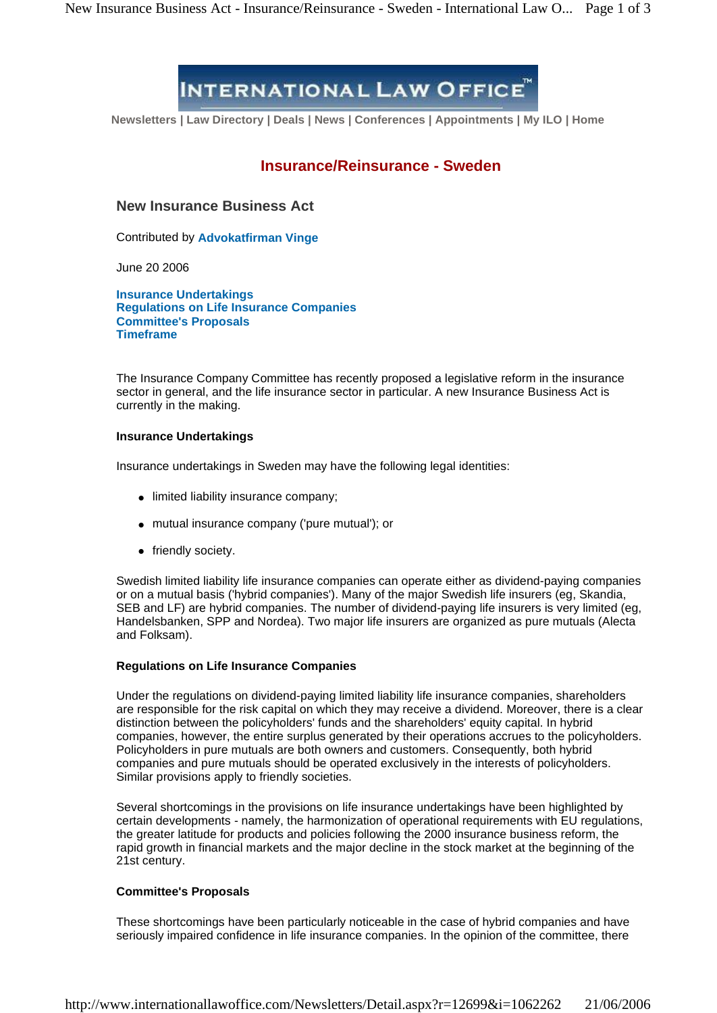# **INTERNATIONAL LAW OFFICE**

**Newsletters | Law Directory | Deals | News | Conferences | Appointments | My ILO | Home**

# **Insurance/Reinsurance - Sweden**

## **New Insurance Business Act**

Contributed by **Advokatfirman Vinge**

June 20 2006

**Insurance Undertakings Regulations on Life Insurance Companies Committee's Proposals Timeframe**

The Insurance Company Committee has recently proposed a legislative reform in the insurance sector in general, and the life insurance sector in particular. A new Insurance Business Act is currently in the making.

# **Insurance Undertakings**

Insurance undertakings in Sweden may have the following legal identities:

- limited liability insurance company;
- mutual insurance company ('pure mutual'); or
- friendly society.

Swedish limited liability life insurance companies can operate either as dividend-paying companies or on a mutual basis ('hybrid companies'). Many of the major Swedish life insurers (eg, Skandia, SEB and LF) are hybrid companies. The number of dividend-paying life insurers is very limited (eg,<br>Handelsbanken, SPP and Nordea). Two major life insurers are organized as pure mutuals (Alecta and Folksam).

#### **Regulations on Life Insurance Companies**

Under the regulations on dividend-paying limited liability life insurance companies, shareholders are responsible for the risk capital on which they may receive a dividend. Moreover, there is a clear distinction between the policyholders' funds and the shareholders' equity capital. In hybrid companies, however, the entire surplus generated by their operations accrues to the policyholders. Policyholders in pure mutuals are both owners and customers. Consequently, both hybrid companies and pure mutuals should be operated exclusively in the interests of policyholders. Similar provisions apply to friendly societies.

Several shortcomings in the provisions on life insurance undertakings have been highlighted by certain developments - namely, the harmonization of operational requirements with EU regulations, the greater latitude for products and policies following the 2000 insurance business reform, the rapid growth in financial markets and the major decline in the stock market at the beginning of the 21st century.

### **Committee's Proposals**

These shortcomings have been particularly noticeable in the case of hybrid companies and have seriously impaired confidence in life insurance companies. In the opinion of the committee, there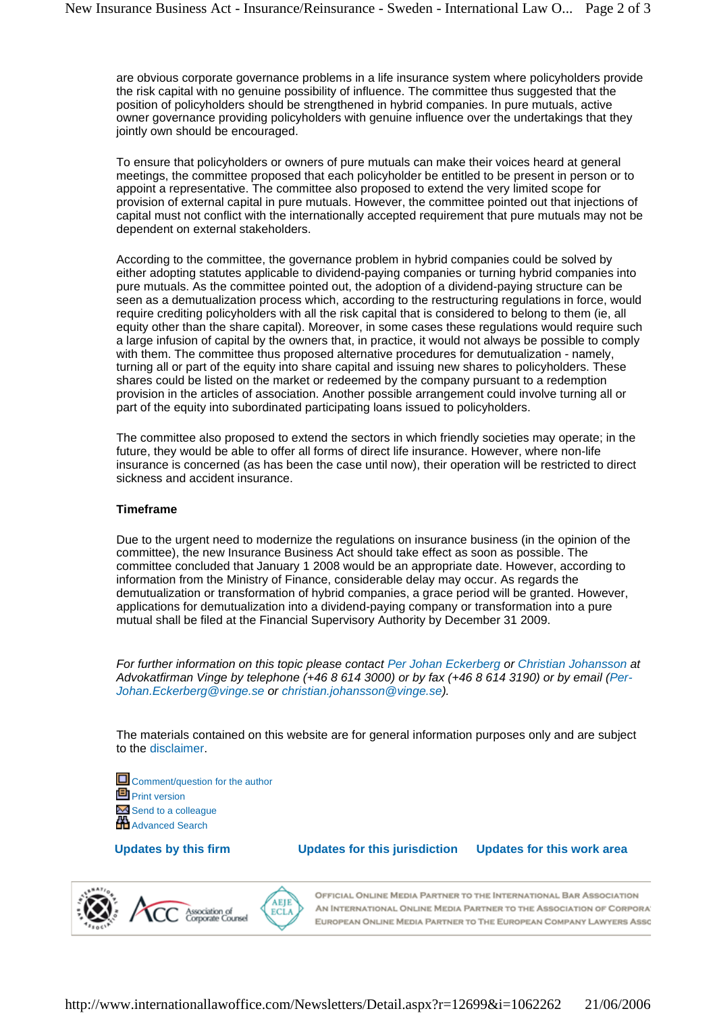are obvious corporate governance problems in a life insurance system where policyholders provide the risk capital with no genuine possibility of influence. The committee thus suggested that the position of policyholders should be strengthened in hybrid companies. In pure mutuals, active owner governance providing policyholders with genuine influence over the undertakings that they jointly own should be encouraged.

To ensure that policyholders or owners of pure mutuals can make their voices heard at general meetings, the committee proposed that each policyholder be entitled to be present in person or to appoint a representative. The committee also proposed to extend the very limited scope for provision of external capital in pure mutuals. However, the committee pointed out that injections of capital must not conflict with the internationally accepted requirement that pure mutuals may not be dependent on external stakeholders.

According to the committee, the governance problem in hybrid companies could be solved by either adopting statutes applicable to dividend-paying companies or turning hybrid companies into pure mutuals. As the committee pointed out, the adoption of a dividend-paying structure can be seen as a demutualization process which, according to the restructuring regulations in force, would require crediting policyholders with all the risk capital that is considered to belong to them (ie, all equity other than the share capital). Moreover, in some cases these regulations would require such a large infusion of capital by the owners that, in practice, it would not always be possible to comply with them. The committee thus proposed alternative procedures for demutualization - namely, turning all or part of the equity into share capital and issuing new shares to policyholders. These shares could be listed on the market or redeemed by the company pursuant to a redemption provision in the articles of association. Another possible arrangement could involve turning all or part of the equity into subordinated participating loans issued to policyholders.

The committee also proposed to extend the sectors in which friendly societies may operate; in the future, they would be able to offer all forms of direct life insurance. However, where non-life insurance is concerned (as has been the case until now), their operation will be restricted to direct sickness and accident insurance.

#### **Timeframe**

Due to the urgent need to modernize the regulations on insurance business (in the opinion of the committee), the new Insurance Business Act should take effect as soon as possible. The committee concluded that January 1 2008 would be an appropriate date. However, according to information from the Ministry of Finance, considerable delay may occur. As regards the demutualization or transformation of hybrid companies, a grace period will be granted. However, applications for demutualization into a dividend-paying company or transformation into a pure mutual shall be filed at the Financial Supervisory Authority by December 31 2009.

For further information on this topic please contact Per Johan Eckerberg or Christian Johansson at Advokatfirman Vinge by telephone (+46 8 614 3000) or by fax (+46 8 614 3190) or by email (Per- [Johan.Eckerberg@vinge.se](mailto:Johan.Eckerberg@vinge.se) or [christian.johansson@vinge.se\).](mailto:christian.johansson@vinge.se).)

The materials contained on this website are for general information purposes only and are subject to the disclaimer.

Comment/question for the author **Print version** Send to a colleague **Htt** Advanced Search

**Updates by this firm Updates for this jurisdiction Updates for this work area**



OFFICIAL ONLINE MEDIA PARTNER TO THE INTERNATIONAL BAR ASSOCIATION AN INTERNATIONAL ONLINE MEDIA PARTNER TO THE ASSOCIATION OF CORPORA' EUROPEAN ONLINE MEDIA PARTNER TO THE EUROPEAN COMPANY LAWYERS ASSC